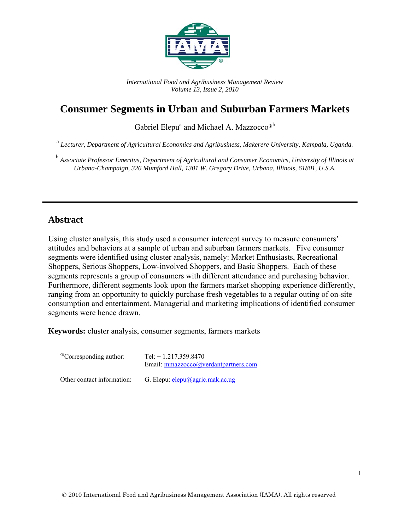

*International Food and Agribusiness Management Review Volume 13, Issue 2, 2010* 

# **Consumer Segments in Urban and Suburban Farmers Markets**

Gabriel Elepu<sup>a</sup> and Michael A. Mazzocco<sup>®b</sup>

<sup>a</sup> *Lecturer, Department of Agricultural Economics and Agribusiness, Makerere University, Kampala, Uganda.*

<sup>b</sup> Associate Professor Emeritus, Department of Agricultural and Consumer Economics, University of Illinois at *Urbana-Champaign, 326 Mumford Hall, 1301 W. Gregory Drive, Urbana, Illinois, 61801, U.S.A.* 

#### **Abstract**

Using cluster analysis, this study used a consumer intercept survey to measure consumers' attitudes and behaviors at a sample of urban and suburban farmers markets. Five consumer segments were identified using cluster analysis, namely: Market Enthusiasts, Recreational Shoppers, Serious Shoppers, Low-involved Shoppers, and Basic Shoppers. Each of these segments represents a group of consumers with different attendance and purchasing behavior. Furthermore, different segments look upon the farmers market shopping experience differently, ranging from an opportunity to quickly purchase fresh vegetables to a regular outing of on-site consumption and entertainment. Managerial and marketing implications of identified consumer segments were hence drawn.

**Keywords:** cluster analysis, consumer segments, farmers markets

| <sup>The</sup> Corresponding author: | Tel: $+ 1.217.359.8470$<br>Email: mmazzocco@verdantpartners.com |
|--------------------------------------|-----------------------------------------------------------------|
| Other contact information:           | G. Elepu: elepu@agric.mak.ac.ug                                 |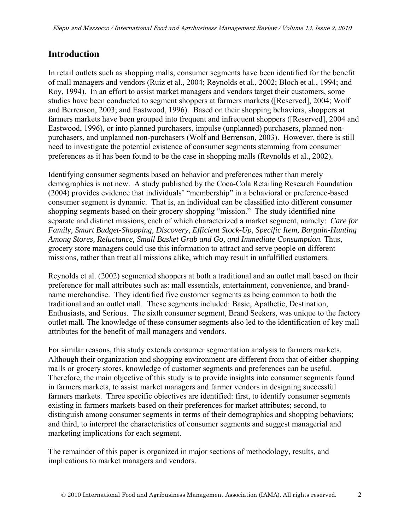# **Introduction**

In retail outlets such as shopping malls, consumer segments have been identified for the benefit of mall managers and vendors (Ruiz et al., 2004; Reynolds et al., 2002; Bloch et al., 1994; and Roy, 1994). In an effort to assist market managers and vendors target their customers, some studies have been conducted to segment shoppers at farmers markets ([Reserved], 2004; Wolf and Berrenson, 2003; and Eastwood, 1996). Based on their shopping behaviors, shoppers at farmers markets have been grouped into frequent and infrequent shoppers ([Reserved], 2004 and Eastwood, 1996), or into planned purchasers, impulse (unplanned) purchasers, planned nonpurchasers, and unplanned non-purchasers (Wolf and Berrenson, 2003). However, there is still need to investigate the potential existence of consumer segments stemming from consumer preferences as it has been found to be the case in shopping malls (Reynolds et al., 2002).

Identifying consumer segments based on behavior and preferences rather than merely demographics is not new. A study published by the Coca-Cola Retailing Research Foundation (2004) provides evidence that individuals' "membership" in a behavioral or preference-based consumer segment is dynamic. That is, an individual can be classified into different consumer shopping segments based on their grocery shopping "mission." The study identified nine separate and distinct missions, each of which characterized a market segment, namely: *Care for Family, Smart Budget-Shopping, Discovery, Efficient Stock-Up, Specific Item, Bargain-Hunting Among Stores, Reluctance, Small Basket Grab and Go, and Immediate Consumption.* Thus, grocery store managers could use this information to attract and serve people on different missions, rather than treat all missions alike, which may result in unfulfilled customers.

Reynolds et al. (2002) segmented shoppers at both a traditional and an outlet mall based on their preference for mall attributes such as: mall essentials, entertainment, convenience, and brandname merchandise. They identified five customer segments as being common to both the traditional and an outlet mall. These segments included: Basic, Apathetic, Destination, Enthusiasts, and Serious. The sixth consumer segment, Brand Seekers, was unique to the factory outlet mall. The knowledge of these consumer segments also led to the identification of key mall attributes for the benefit of mall managers and vendors.

For similar reasons, this study extends consumer segmentation analysis to farmers markets. Although their organization and shopping environment are different from that of either shopping malls or grocery stores, knowledge of customer segments and preferences can be useful. Therefore, the main objective of this study is to provide insights into consumer segments found in farmers markets, to assist market managers and farmer vendors in designing successful farmers markets. Three specific objectives are identified: first, to identify consumer segments existing in farmers markets based on their preferences for market attributes; second, to distinguish among consumer segments in terms of their demographics and shopping behaviors; and third, to interpret the characteristics of consumer segments and suggest managerial and marketing implications for each segment.

The remainder of this paper is organized in major sections of methodology, results, and implications to market managers and vendors.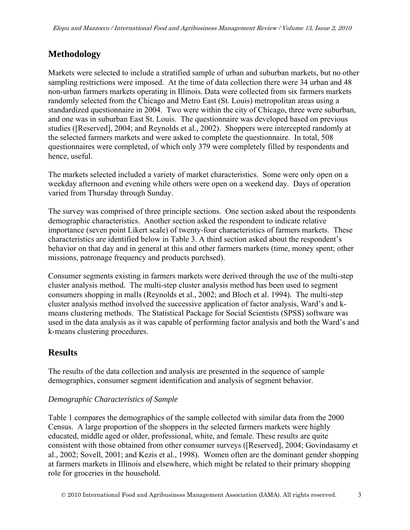# **Methodology**

Markets were selected to include a stratified sample of urban and suburban markets, but no other sampling restrictions were imposed. At the time of data collection there were 34 urban and 48 non-urban farmers markets operating in Illinois. Data were collected from six farmers markets randomly selected from the Chicago and Metro East (St. Louis) metropolitan areas using a standardized questionnaire in 2004. Two were within the city of Chicago, three were suburban, and one was in suburban East St. Louis. The questionnaire was developed based on previous studies ([Reserved], 2004; and Reynolds et al., 2002). Shoppers were intercepted randomly at the selected farmers markets and were asked to complete the questionnaire. In total, 508 questionnaires were completed, of which only 379 were completely filled by respondents and hence, useful.

The markets selected included a variety of market characteristics. Some were only open on a weekday afternoon and evening while others were open on a weekend day. Days of operation varied from Thursday through Sunday.

The survey was comprised of three principle sections. One section asked about the respondents demographic characteristics. Another section asked the respondent to indicate relative importance (seven point Likert scale) of twenty-four characteristics of farmers markets. These characteristics are identified below in Table 3. A third section asked about the respondent's behavior on that day and in general at this and other farmers markets (time, money spent; other missions, patronage frequency and products purchsed).

Consumer segments existing in farmers markets were derived through the use of the multi-step cluster analysis method. The multi-step cluster analysis method has been used to segment consumers shopping in malls (Reynolds et al., 2002; and Bloch et al. 1994). The multi-step cluster analysis method involved the successive application of factor analysis, Ward's and kmeans clustering methods. The Statistical Package for Social Scientists (SPSS) software was used in the data analysis as it was capable of performing factor analysis and both the Ward's and k-means clustering procedures.

# **Results**

The results of the data collection and analysis are presented in the sequence of sample demographics, consumer segment identification and analysis of segment behavior.

### *Demographic Characteristics of Sample*

Table 1 compares the demographics of the sample collected with similar data from the 2000 Census. A large proportion of the shoppers in the selected farmers markets were highly educated, middle aged or older, professional, white, and female. These results are quite consistent with those obtained from other consumer surveys ([Reserved], 2004; Govindasamy et al., 2002; Sovell, 2001; and Kezis et al., 1998). Women often are the dominant gender shopping at farmers markets in Illinois and elsewhere, which might be related to their primary shopping role for groceries in the household.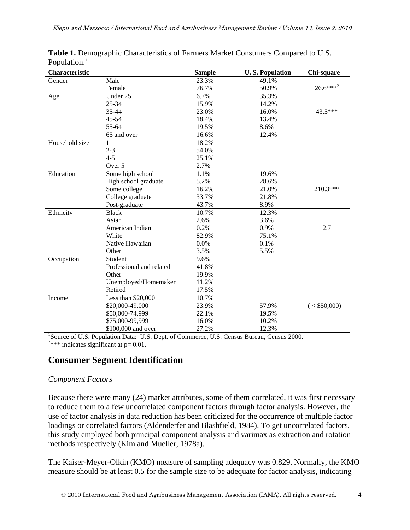| Characteristic |                                                                                                  | <b>Sample</b> | <b>U.S. Population</b> | Chi-square     |
|----------------|--------------------------------------------------------------------------------------------------|---------------|------------------------|----------------|
| Gender         | Male                                                                                             | 23.3%         | 49.1%                  |                |
|                | Female                                                                                           | 76.7%         | 50.9%                  | $26.6***^{2}$  |
| Age            | Under 25                                                                                         | 6.7%          | 35.3%                  |                |
|                | 25-34                                                                                            | 15.9%         | 14.2%                  |                |
|                | 35-44                                                                                            | 23.0%         | 16.0%                  | 43.5***        |
|                | 45-54                                                                                            | 18.4%         | 13.4%                  |                |
|                | 55-64                                                                                            | 19.5%         | 8.6%                   |                |
|                | 65 and over                                                                                      | 16.6%         | 12.4%                  |                |
| Household size | 1                                                                                                | 18.2%         |                        |                |
|                | $2 - 3$                                                                                          | 54.0%         |                        |                |
|                | $4 - 5$                                                                                          | 25.1%         |                        |                |
|                | Over 5                                                                                           | 2.7%          |                        |                |
| Education      | Some high school                                                                                 | 1.1%          | 19.6%                  |                |
|                | High school graduate                                                                             | 5.2%          | 28.6%                  |                |
|                | Some college                                                                                     | 16.2%         | 21.0%                  | 210.3***       |
|                | College graduate                                                                                 | 33.7%         | 21.8%                  |                |
|                | Post-graduate                                                                                    | 43.7%         | 8.9%                   |                |
| Ethnicity      | <b>Black</b>                                                                                     | 10.7%         | 12.3%                  |                |
|                | Asian                                                                                            | 2.6%          | 3.6%                   |                |
|                | American Indian                                                                                  | 0.2%          | 0.9%                   | 2.7            |
|                | White                                                                                            | 82.9%         | 75.1%                  |                |
|                | Native Hawaiian                                                                                  | 0.0%          | 0.1%                   |                |
|                | Other                                                                                            | 3.5%          | 5.5%                   |                |
| Occupation     | Student                                                                                          | 9.6%          |                        |                |
|                | Professional and related                                                                         | 41.8%         |                        |                |
|                | Other                                                                                            | 19.9%         |                        |                |
|                | Unemployed/Homemaker                                                                             | 11.2%         |                        |                |
|                | Retired                                                                                          | 17.5%         |                        |                |
| Income         | Less than \$20,000                                                                               | 10.7%         |                        |                |
|                | \$20,000-49,000                                                                                  | 23.9%         | 57.9%                  | $(<$ \$50,000) |
|                | \$50,000-74,999                                                                                  | 22.1%         | 19.5%                  |                |
|                | \$75,000-99,999                                                                                  | 16.0%         | 10.2%                  |                |
|                | \$100,000 and over                                                                               | 27.2%         | 12.3%                  |                |
|                | ${}^{1}$ Source of H.S. Dopulation Data: H.S. Dont, of Commance, H.S. Congue Duragu, Congue 2000 |               |                        |                |

**Table 1.** Demographic Characteristics of Farmers Market Consumers Compared to U.S. Population.<sup>1</sup>

Source of U.S. Population Data: U.S. Dept. of Commerce, U.S. Census Bureau, Census 2000. <sup>2\*\*\*</sup> indicates significant at  $p= 0.01$ .

# **Consumer Segment Identification**

#### *Component Factors*

Because there were many (24) market attributes, some of them correlated, it was first necessary to reduce them to a few uncorrelated component factors through factor analysis. However, the use of factor analysis in data reduction has been criticized for the occurrence of multiple factor loadings or correlated factors (Aldenderfer and Blashfield, 1984). To get uncorrelated factors, this study employed both principal component analysis and varimax as extraction and rotation methods respectively (Kim and Mueller, 1978a).

The Kaiser-Meyer-Olkin (KMO) measure of sampling adequacy was 0.829. Normally, the KMO measure should be at least 0.5 for the sample size to be adequate for factor analysis, indicating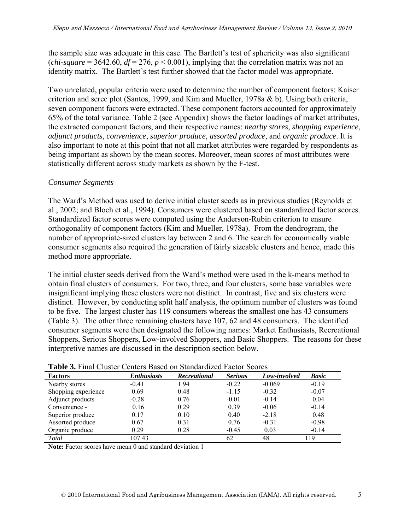the sample size was adequate in this case. The Bartlett's test of sphericity was also significant (*chi-square* = 3642.60,  $df = 276$ ,  $p < 0.001$ ), implying that the correlation matrix was not an identity matrix. The Bartlett's test further showed that the factor model was appropriate.

Two unrelated, popular criteria were used to determine the number of component factors: Kaiser criterion and scree plot (Santos, 1999, and Kim and Mueller, 1978a & b). Using both criteria, seven component factors were extracted. These component factors accounted for approximately 65% of the total variance. Table 2 (see Appendix) shows the factor loadings of market attributes, the extracted component factors, and their respective names: *nearby stores*, *shopping experience*, *adjunct products*, *convenience*, *superior produce*, *assorted produce*, and *organic produce*. It is also important to note at this point that not all market attributes were regarded by respondents as being important as shown by the mean scores. Moreover, mean scores of most attributes were statistically different across study markets as shown by the F-test.

#### *Consumer Segments*

The Ward's Method was used to derive initial cluster seeds as in previous studies (Reynolds et al., 2002; and Bloch et al., 1994). Consumers were clustered based on standardized factor scores. Standardized factor scores were computed using the Anderson-Rubin criterion to ensure orthogonality of component factors (Kim and Mueller, 1978a). From the dendrogram, the number of appropriate-sized clusters lay between 2 and 6. The search for economically viable consumer segments also required the generation of fairly sizeable clusters and hence, made this method more appropriate.

The initial cluster seeds derived from the Ward's method were used in the k-means method to obtain final clusters of consumers. For two, three, and four clusters, some base variables were insignificant implying these clusters were not distinct. In contrast, five and six clusters were distinct. However, by conducting split half analysis, the optimum number of clusters was found to be five. The largest cluster has 119 consumers whereas the smallest one has 43 consumers (Table 3). The other three remaining clusters have 107, 62 and 48 consumers. The identified consumer segments were then designated the following names: Market Enthusiasts, Recreational Shoppers, Serious Shoppers, Low-involved Shoppers, and Basic Shoppers. The reasons for these interpretive names are discussed in the description section below.

| <b>Factors</b>      | <b>Enthusiasts</b> | Recreational | <b>Serious</b> | Low-involved | <b>Basic</b> |
|---------------------|--------------------|--------------|----------------|--------------|--------------|
| Nearby stores       | $-0.41$            | 1.94         | $-0.22$        | $-0.069$     | $-0.19$      |
| Shopping experience | 0.69               | 0.48         | $-1.15$        | $-0.32$      | $-0.07$      |
| Adjunct products    | $-0.28$            | 0.76         | $-0.01$        | $-0.14$      | 0.04         |
| Convenience -       | 0.16               | 0.29         | 0.39           | $-0.06$      | $-0.14$      |
| Superior produce    | 0.17               | 0.10         | 0.40           | $-2.18$      | 0.48         |
| Assorted produce    | 0.67               | 0.31         | 0.76           | $-0.31$      | $-0.98$      |
| Organic produce     | 0.29               | 0.28         | $-0.45$        | 0.03         | $-0.14$      |
| Total               | 10743              |              | 62             | 48           | 119          |

**Table 3.** Final Cluster Centers Based on Standardized Factor Scores

**Note:** Factor scores have mean 0 and standard deviation 1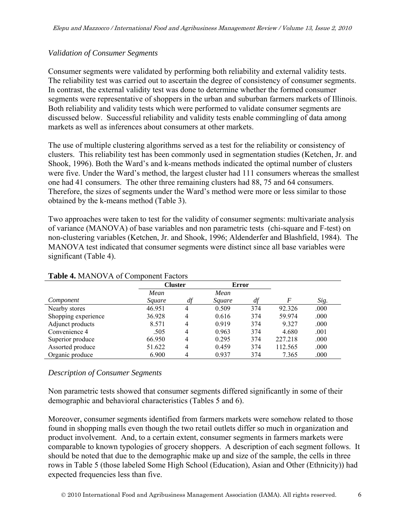#### *Validation of Consumer Segments*

Consumer segments were validated by performing both reliability and external validity tests. The reliability test was carried out to ascertain the degree of consistency of consumer segments. In contrast, the external validity test was done to determine whether the formed consumer segments were representative of shoppers in the urban and suburban farmers markets of Illinois. Both reliability and validity tests which were performed to validate consumer segments are discussed below. Successful reliability and validity tests enable commingling of data among markets as well as inferences about consumers at other markets.

The use of multiple clustering algorithms served as a test for the reliability or consistency of clusters. This reliability test has been commonly used in segmentation studies (Ketchen, Jr. and Shook, 1996). Both the Ward's and k-means methods indicated the optimal number of clusters were five. Under the Ward's method, the largest cluster had 111 consumers whereas the smallest one had 41 consumers. The other three remaining clusters had 88, 75 and 64 consumers. Therefore, the sizes of segments under the Ward's method were more or less similar to those obtained by the k-means method (Table 3).

Two approaches were taken to test for the validity of consumer segments: multivariate analysis of variance (MANOVA) of base variables and non parametric tests (chi-square and F-test) on non-clustering variables (Ketchen, Jr. and Shook, 1996; Aldenderfer and Blashfield, 1984). The MANOVA test indicated that consumer segments were distinct since all base variables were significant (Table 4).

|                     | <b>Cluster</b> |                | <b>Error</b>  |     |         |      |  |  |  |  |
|---------------------|----------------|----------------|---------------|-----|---------|------|--|--|--|--|
|                     | Mean           |                | Mean          |     |         |      |  |  |  |  |
| Component           | Square         | df             | <i>Square</i> | df  | F       | Sig. |  |  |  |  |
| Nearby stores       | 46.951         | 4              | 0.509         | 374 | 92.326  | .000 |  |  |  |  |
| Shopping experience | 36.928         | 4              | 0.616         | 374 | 59.974  | .000 |  |  |  |  |
| Adjunct products    | 8.571          | 4              | 0.919         | 374 | 9.327   | .000 |  |  |  |  |
| Convenience 4       | .505           | 4              | 0.963         | 374 | 4.680   | .001 |  |  |  |  |
| Superior produce    | 66.950         | $\overline{4}$ | 0.295         | 374 | 227.218 | .000 |  |  |  |  |
| Assorted produce    | 51.622         | 4              | 0.459         | 374 | 112.565 | .000 |  |  |  |  |
| Organic produce     | 6.900          | 4              | 0.937         | 374 | 7.365   | .000 |  |  |  |  |

#### **Table 4.** MANOVA of Component Factors

#### *Description of Consumer Segments*

Non parametric tests showed that consumer segments differed significantly in some of their demographic and behavioral characteristics (Tables 5 and 6).

Moreover, consumer segments identified from farmers markets were somehow related to those found in shopping malls even though the two retail outlets differ so much in organization and product involvement. And, to a certain extent, consumer segments in farmers markets were comparable to known typologies of grocery shoppers. A description of each segment follows. It should be noted that due to the demographic make up and size of the sample, the cells in three rows in Table 5 (those labeled Some High School (Education), Asian and Other (Ethnicity)) had expected frequencies less than five.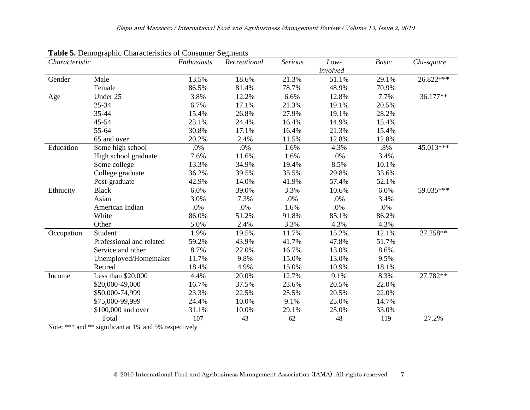| Characteristic |                          | Enthusiasts | Recreational | <b>Serious</b> | Low-     | <b>Basic</b> | Chi-square |
|----------------|--------------------------|-------------|--------------|----------------|----------|--------------|------------|
|                |                          |             |              |                | involved |              |            |
| Gender         | Male                     | 13.5%       | 18.6%        | 21.3%          | 51.1%    | 29.1%        | 26.822***  |
|                | Female                   | 86.5%       | 81.4%        | 78.7%          | 48.9%    | 70.9%        |            |
| Age            | Under 25                 | 3.8%        | 12.2%        | 6.6%           | 12.8%    | 7.7%         | 36.177**   |
|                | 25-34                    | 6.7%        | 17.1%        | 21.3%          | 19.1%    | 20.5%        |            |
|                | 35-44                    | 15.4%       | 26.8%        | 27.9%          | 19.1%    | 28.2%        |            |
|                | $45 - 54$                | 23.1%       | 24.4%        | 16.4%          | 14.9%    | 15.4%        |            |
|                | 55-64                    | 30.8%       | 17.1%        | 16.4%          | 21.3%    | 15.4%        |            |
|                | 65 and over              | 20.2%       | 2.4%         | 11.5%          | 12.8%    | 12.8%        |            |
| Education      | Some high school         | .0%         | .0%          | 1.6%           | 4.3%     | .8%          | 45.013***  |
|                | High school graduate     | 7.6%        | 11.6%        | 1.6%           | .0%      | 3.4%         |            |
|                | Some college             | 13.3%       | 34.9%        | 19.4%          | 8.5%     | 10.1%        |            |
|                | College graduate         | 36.2%       | 39.5%        | 35.5%          | 29.8%    | 33.6%        |            |
|                | Post-graduate            | 42.9%       | 14.0%        | 41.9%          | 57.4%    | 52.1%        |            |
| Ethnicity      | <b>Black</b>             | 6.0%        | 39.0%        | 3.3%           | 10.6%    | 6.0%         | 59.035***  |
|                | Asian                    | 3.0%        | 7.3%         | .0%            | .0%      | 3.4%         |            |
|                | American Indian          | .0%         | .0%          | 1.6%           | .0%      | .0%          |            |
|                | White                    | 86.0%       | 51.2%        | 91.8%          | 85.1%    | 86.2%        |            |
|                | Other                    | 5.0%        | 2.4%         | 3.3%           | 4.3%     | 4.3%         |            |
| Occupation     | Student                  | 1.9%        | 19.5%        | 11.7%          | 15.2%    | 12.1%        | 27.258**   |
|                | Professional and related | 59.2%       | 43.9%        | 41.7%          | 47.8%    | 51.7%        |            |
|                | Service and other        | 8.7%        | 22.0%        | 16.7%          | 13.0%    | 8.6%         |            |
|                | Unemployed/Homemaker     | 11.7%       | 9.8%         | 15.0%          | 13.0%    | 9.5%         |            |
|                | Retired                  | 18.4%       | 4.9%         | 15.0%          | 10.9%    | 18.1%        |            |
| Income         | Less than \$20,000       | 4.4%        | 20.0%        | 12.7%          | 9.1%     | 8.3%         | 27.782**   |
|                | \$20,000-49,000          | 16.7%       | 37.5%        | 23.6%          | 20.5%    | 22.0%        |            |
|                | \$50,000-74,999          | 23.3%       | 22.5%        | 25.5%          | 20.5%    | 22.0%        |            |
|                | \$75,000-99,999          | 24.4%       | 10.0%        | 9.1%           | 25.0%    | 14.7%        |            |
|                | \$100,000 and over       | 31.1%       | 10.0%        | 29.1%          | 25.0%    | 33.0%        |            |
|                | Total                    | 107         | 43           | 62             | 48       | 119          | 27.2%      |

**Table 5.** Demographic Characteristics of Consumer Segments

Note: \*\*\* and \*\* significant at 1% and 5% respectively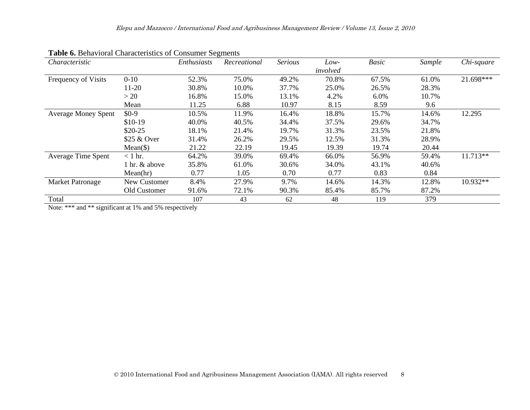| Characteristic             |               | Enthusiasts | Recreational | <b>Serious</b> | Low-     | <b>Basic</b> | Sample | Chi-square |
|----------------------------|---------------|-------------|--------------|----------------|----------|--------------|--------|------------|
|                            |               |             |              |                | involved |              |        |            |
| Frequency of Visits        | $0 - 10$      | 52.3%       | 75.0%        | 49.2%          | 70.8%    | 67.5%        | 61.0%  | 21.698***  |
|                            | $11-20$       | 30.8%       | 10.0%        | 37.7%          | 25.0%    | 26.5%        | 28.3%  |            |
|                            | >20           | 16.8%       | 15.0%        | 13.1%          | 4.2%     | 6.0%         | 10.7%  |            |
|                            | Mean          | 11.25       | 6.88         | 10.97          | 8.15     | 8.59         | 9.6    |            |
| <b>Average Money Spent</b> | $$0-9$        | 10.5%       | 11.9%        | 16.4%          | 18.8%    | 15.7%        | 14.6%  | 12.295     |
|                            | $$10-19$      | 40.0%       | 40.5%        | 34.4%          | 37.5%    | 29.6%        | 34.7%  |            |
|                            | $$20-25$      | 18.1%       | 21.4%        | 19.7%          | 31.3%    | 23.5%        | 21.8%  |            |
|                            | \$25 & Over   | 31.4%       | 26.2%        | 29.5%          | 12.5%    | 31.3%        | 28.9%  |            |
|                            | $Mean(\$))$   | 21.22       | 22.19        | 19.45          | 19.39    | 19.74        | 20.44  |            |
| <b>Average Time Spent</b>  | $<$ 1 hr.     | 64.2%       | 39.0%        | 69.4%          | 66.0%    | 56.9%        | 59.4%  | $11.713**$ |
|                            | 1 hr. & above | 35.8%       | 61.0%        | 30.6%          | 34.0%    | 43.1%        | 40.6%  |            |
|                            | Mean(hr)      | 0.77        | 1.05         | 0.70           | 0.77     | 0.83         | 0.84   |            |
| <b>Market Patronage</b>    | New Customer  | 8.4%        | 27.9%        | 9.7%           | 14.6%    | 14.3%        | 12.8%  | $10.932**$ |
|                            | Old Customer  | 91.6%       | 72.1%        | 90.3%          | 85.4%    | 85.7%        | 87.2%  |            |
| Total                      |               | 107         | 43           | 62             | 48       | 119          | 379    |            |

**Table 6.** Behavioral Characteristics of Consumer Segments

Note: \*\*\* and \*\* significant at 1% and 5% respectively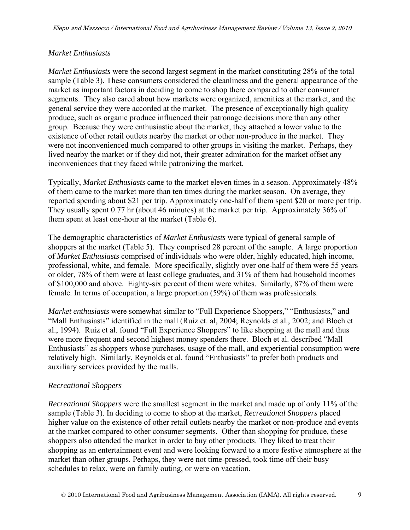#### *Market Enthusiasts*

*Market Enthusiasts* were the second largest segment in the market constituting 28% of the total sample (Table 3). These consumers considered the cleanliness and the general appearance of the market as important factors in deciding to come to shop there compared to other consumer segments. They also cared about how markets were organized, amenities at the market, and the general service they were accorded at the market. The presence of exceptionally high quality produce, such as organic produce influenced their patronage decisions more than any other group. Because they were enthusiastic about the market, they attached a lower value to the existence of other retail outlets nearby the market or other non-produce in the market. They were not inconvenienced much compared to other groups in visiting the market. Perhaps, they lived nearby the market or if they did not, their greater admiration for the market offset any inconveniences that they faced while patronizing the market.

Typically, *Market Enthusiasts* came to the market eleven times in a season. Approximately 48% of them came to the market more than ten times during the market season. On average, they reported spending about \$21 per trip. Approximately one-half of them spent \$20 or more per trip. They usually spent 0.77 hr (about 46 minutes) at the market per trip. Approximately 36% of them spent at least one-hour at the market (Table 6).

The demographic characteristics of *Market Enthusiasts* were typical of general sample of shoppers at the market (Table 5). They comprised 28 percent of the sample. A large proportion of *Market Enthusiasts* comprised of individuals who were older, highly educated, high income, professional, white, and female. More specifically, slightly over one-half of them were 55 years or older, 78% of them were at least college graduates, and 31% of them had household incomes of \$100,000 and above. Eighty-six percent of them were whites. Similarly, 87% of them were female. In terms of occupation, a large proportion (59%) of them was professionals.

*Market enthusiasts* were somewhat similar to "Full Experience Shoppers," "Enthusiasts," and "Mall Enthusiasts" identified in the mall (Ruiz et. al, 2004; Reynolds et al., 2002; and Bloch et al., 1994). Ruiz et al. found "Full Experience Shoppers" to like shopping at the mall and thus were more frequent and second highest money spenders there. Bloch et al. described "Mall Enthusiasts" as shoppers whose purchases, usage of the mall, and experiential consumption were relatively high. Similarly, Reynolds et al. found "Enthusiasts" to prefer both products and auxiliary services provided by the malls.

#### *Recreational Shoppers*

*Recreational Shoppers* were the smallest segment in the market and made up of only 11% of the sample (Table 3). In deciding to come to shop at the market, *Recreational Shoppers* placed higher value on the existence of other retail outlets nearby the market or non-produce and events at the market compared to other consumer segments. Other than shopping for produce, these shoppers also attended the market in order to buy other products. They liked to treat their shopping as an entertainment event and were looking forward to a more festive atmosphere at the market than other groups. Perhaps, they were not time-pressed, took time off their busy schedules to relax, were on family outing, or were on vacation.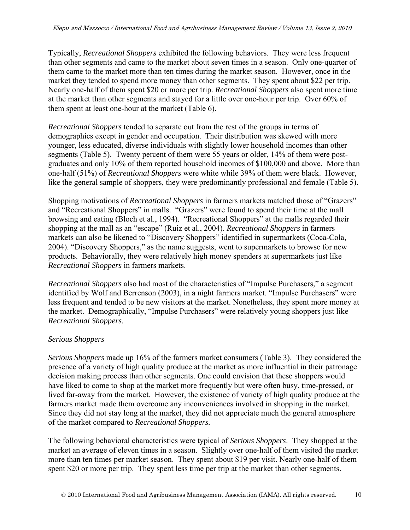Typically, *Recreational Shoppers* exhibited the following behaviors. They were less frequent than other segments and came to the market about seven times in a season. Only one-quarter of them came to the market more than ten times during the market season. However, once in the market they tended to spend more money than other segments. They spent about \$22 per trip. Nearly one-half of them spent \$20 or more per trip. *Recreational Shoppers* also spent more time at the market than other segments and stayed for a little over one-hour per trip. Over 60% of them spent at least one-hour at the market (Table 6).

*Recreational Shoppers* tended to separate out from the rest of the groups in terms of demographics except in gender and occupation. Their distribution was skewed with more younger, less educated, diverse individuals with slightly lower household incomes than other segments (Table 5). Twenty percent of them were 55 years or older, 14% of them were postgraduates and only 10% of them reported household incomes of \$100,000 and above. More than one-half (51%) of *Recreational Shoppers* were white while 39% of them were black. However, like the general sample of shoppers, they were predominantly professional and female (Table 5).

Shopping motivations of *Recreational Shoppers* in farmers markets matched those of "Grazers" and "Recreational Shoppers" in malls. "Grazers" were found to spend their time at the mall browsing and eating (Bloch et al., 1994). "Recreational Shoppers" at the malls regarded their shopping at the mall as an "escape" (Ruiz et al., 2004). *Recreational Shoppers* in farmers markets can also be likened to "Discovery Shoppers" identified in supermarkets (Coca-Cola, 2004). "Discovery Shoppers," as the name suggests, went to supermarkets to browse for new products. Behaviorally, they were relatively high money spenders at supermarkets just like *Recreational Shoppers* in farmers markets.

*Recreational Shoppers* also had most of the characteristics of "Impulse Purchasers," a segment identified by Wolf and Berrenson (2003), in a night farmers market. "Impulse Purchasers" were less frequent and tended to be new visitors at the market. Nonetheless, they spent more money at the market. Demographically, "Impulse Purchasers" were relatively young shoppers just like *Recreational Shoppers*.

#### *Serious Shoppers*

*Serious Shoppers* made up 16% of the farmers market consumers (Table 3). They considered the presence of a variety of high quality produce at the market as more influential in their patronage decision making process than other segments. One could envision that these shoppers would have liked to come to shop at the market more frequently but were often busy, time-pressed, or lived far-away from the market. However, the existence of variety of high quality produce at the farmers market made them overcome any inconveniences involved in shopping in the market. Since they did not stay long at the market, they did not appreciate much the general atmosphere of the market compared to *Recreational Shoppers.*

The following behavioral characteristics were typical of *Serious Shoppers*. They shopped at the market an average of eleven times in a season. Slightly over one-half of them visited the market more than ten times per market season. They spent about \$19 per visit. Nearly one-half of them spent \$20 or more per trip. They spent less time per trip at the market than other segments.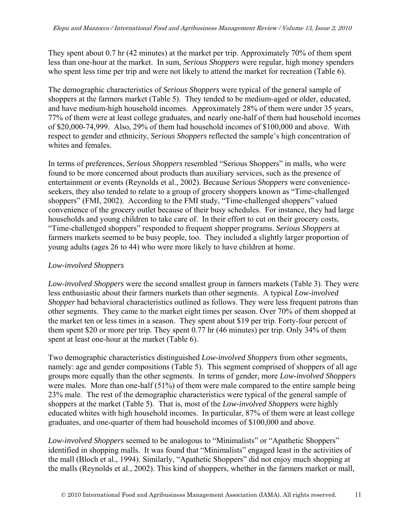They spent about 0.7 hr (42 minutes) at the market per trip. Approximately 70% of them spent less than one-hour at the market. In sum, *Serious Shoppers* were regular, high money spenders who spent less time per trip and were not likely to attend the market for recreation (Table 6).

The demographic characteristics of *Serious Shoppers* were typical of the general sample of shoppers at the farmers market (Table 5). They tended to be medium-aged or older, educated, and have medium-high household incomes. Approximately 28% of them were under 35 years, 77% of them were at least college graduates, and nearly one-half of them had household incomes of \$20,000-74,999. Also, 29% of them had household incomes of \$100,000 and above. With respect to gender and ethnicity, *Serious Shoppers* reflected the sample's high concentration of whites and females.

In terms of preferences, *Serious Shoppers* resembled "Serious Shoppers" in malls, who were found to be more concerned about products than auxiliary services, such as the presence of entertainment or events (Reynolds et al., 2002). Because *Serious Shoppers* were convenienceseekers, they also tended to relate to a group of grocery shoppers known as "Time-challenged shoppers" (FMI, 2002). According to the FMI study, "Time-challenged shoppers" valued convenience of the grocery outlet because of their busy schedules. For instance, they had large households and young children to take care of. In their effort to cut on their grocery costs, "Time-challenged shoppers" responded to frequent shopper programs. *Serious Shoppers* at farmers markets seemed to be busy people, too. They included a slightly larger proportion of young adults (ages 26 to 44) who were more likely to have children at home.

#### *Low-involved Shoppers*

*Low-involved Shoppers* were the second smallest group in farmers markets (Table 3). They were less enthusiastic about their farmers markets than other segments. A typical *Low-involved Shopper* had behavioral characteristics outlined as follows. They were less frequent patrons than other segments. They came to the market eight times per season. Over 70% of them shopped at the market ten or less times in a season. They spent about \$19 per trip. Forty-four percent of them spent \$20 or more per trip. They spent 0.77 hr (46 minutes) per trip. Only 34% of them spent at least one-hour at the market (Table 6).

Two demographic characteristics distinguished *Low-involved Shoppers* from other segments, namely: age and gender compositions (Table 5). This segment comprised of shoppers of all age groups more equally than the other segments. In terms of gender, more *Low-involved Shoppers* were males. More than one-half (51%) of them were male compared to the entire sample being 23% male. The rest of the demographic characteristics were typical of the general sample of shoppers at the market (Table 5). That is, most of the *Low-involved Shoppers* were highly educated whites with high household incomes. In particular, 87% of them were at least college graduates, and one-quarter of them had household incomes of \$100,000 and above.

*Low-involved Shoppers* seemed to be analogous to "Minimalists" or "Apathetic Shoppers" identified in shopping malls. It was found that "Minimalists" engaged least in the activities of the mall (Bloch et al., 1994). Similarly, "Apathetic Shoppers" did not enjoy much shopping at the malls (Reynolds et al., 2002). This kind of shoppers, whether in the farmers market or mall,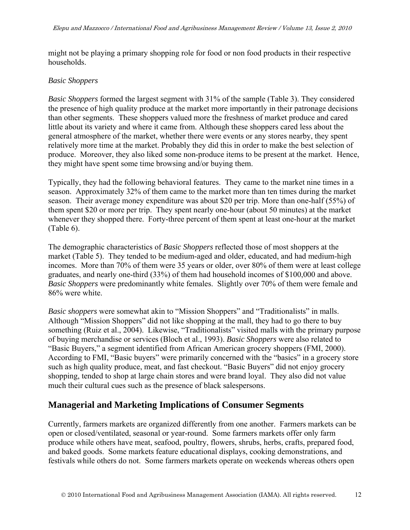might not be playing a primary shopping role for food or non food products in their respective households.

#### *Basic Shoppers*

*Basic Shoppers* formed the largest segment with 31% of the sample (Table 3). They considered the presence of high quality produce at the market more importantly in their patronage decisions than other segments. These shoppers valued more the freshness of market produce and cared little about its variety and where it came from. Although these shoppers cared less about the general atmosphere of the market, whether there were events or any stores nearby, they spent relatively more time at the market. Probably they did this in order to make the best selection of produce. Moreover, they also liked some non-produce items to be present at the market. Hence, they might have spent some time browsing and/or buying them.

Typically, they had the following behavioral features. They came to the market nine times in a season. Approximately 32% of them came to the market more than ten times during the market season. Their average money expenditure was about \$20 per trip. More than one-half (55%) of them spent \$20 or more per trip. They spent nearly one-hour (about 50 minutes) at the market whenever they shopped there. Forty-three percent of them spent at least one-hour at the market (Table 6).

The demographic characteristics of *Basic Shoppers* reflected those of most shoppers at the market (Table 5). They tended to be medium-aged and older, educated, and had medium-high incomes. More than 70% of them were 35 years or older, over 80% of them were at least college graduates, and nearly one-third (33%) of them had household incomes of \$100,000 and above. *Basic Shoppers* were predominantly white females. Slightly over 70% of them were female and 86% were white.

*Basic shoppers* were somewhat akin to "Mission Shoppers" and "Traditionalists" in malls. Although "Mission Shoppers" did not like shopping at the mall, they had to go there to buy something (Ruiz et al., 2004). Likewise, "Traditionalists" visited malls with the primary purpose of buying merchandise or services (Bloch et al., 1993). *Basic Shoppers* were also related to "Basic Buyers," a segment identified from African American grocery shoppers (FMI, 2000). According to FMI, "Basic buyers" were primarily concerned with the "basics" in a grocery store such as high quality produce, meat, and fast checkout. "Basic Buyers" did not enjoy grocery shopping, tended to shop at large chain stores and were brand loyal. They also did not value much their cultural cues such as the presence of black salespersons.

# **Managerial and Marketing Implications of Consumer Segments**

Currently, farmers markets are organized differently from one another. Farmers markets can be open or closed/ventilated, seasonal or year-round. Some farmers markets offer only farm produce while others have meat, seafood, poultry, flowers, shrubs, herbs, crafts, prepared food, and baked goods. Some markets feature educational displays, cooking demonstrations, and festivals while others do not. Some farmers markets operate on weekends whereas others open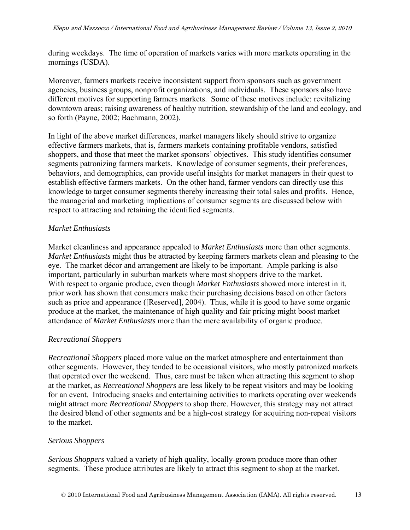during weekdays. The time of operation of markets varies with more markets operating in the mornings (USDA).

Moreover, farmers markets receive inconsistent support from sponsors such as government agencies, business groups, nonprofit organizations, and individuals. These sponsors also have different motives for supporting farmers markets. Some of these motives include: revitalizing downtown areas; raising awareness of healthy nutrition, stewardship of the land and ecology, and so forth (Payne, 2002; Bachmann, 2002).

In light of the above market differences, market managers likely should strive to organize effective farmers markets, that is, farmers markets containing profitable vendors, satisfied shoppers, and those that meet the market sponsors' objectives. This study identifies consumer segments patronizing farmers markets. Knowledge of consumer segments, their preferences, behaviors, and demographics, can provide useful insights for market managers in their quest to establish effective farmers markets. On the other hand, farmer vendors can directly use this knowledge to target consumer segments thereby increasing their total sales and profits. Hence, the managerial and marketing implications of consumer segments are discussed below with respect to attracting and retaining the identified segments.

#### *Market Enthusiasts*

Market cleanliness and appearance appealed to *Market Enthusiasts* more than other segments. *Market Enthusiasts* might thus be attracted by keeping farmers markets clean and pleasing to the eye. The market décor and arrangement are likely to be important. Ample parking is also important, particularly in suburban markets where most shoppers drive to the market. With respect to organic produce, even though *Market Enthusiasts* showed more interest in it, prior work has shown that consumers make their purchasing decisions based on other factors such as price and appearance ([Reserved], 2004). Thus, while it is good to have some organic produce at the market, the maintenance of high quality and fair pricing might boost market attendance of *Market Enthusiasts* more than the mere availability of organic produce.

#### *Recreational Shoppers*

*Recreational Shoppers* placed more value on the market atmosphere and entertainment than other segments. However, they tended to be occasional visitors, who mostly patronized markets that operated over the weekend. Thus, care must be taken when attracting this segment to shop at the market, as *Recreational Shoppers* are less likely to be repeat visitors and may be looking for an event. Introducing snacks and entertaining activities to markets operating over weekends might attract more *Recreational Shoppers* to shop there. However, this strategy may not attract the desired blend of other segments and be a high-cost strategy for acquiring non-repeat visitors to the market.

#### *Serious Shoppers*

*Serious Shoppers* valued a variety of high quality, locally-grown produce more than other segments. These produce attributes are likely to attract this segment to shop at the market.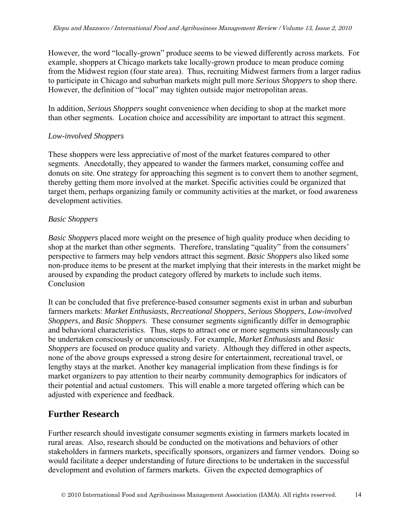However, the word "locally-grown" produce seems to be viewed differently across markets. For example, shoppers at Chicago markets take locally-grown produce to mean produce coming from the Midwest region (four state area). Thus, recruiting Midwest farmers from a larger radius to participate in Chicago and suburban markets might pull more *Serious Shoppers* to shop there. However, the definition of "local" may tighten outside major metropolitan areas.

In addition, *Serious Shoppers* sought convenience when deciding to shop at the market more than other segments. Location choice and accessibility are important to attract this segment.

#### *Low-involved Shoppers*

These shoppers were less appreciative of most of the market features compared to other segments. Anecdotally, they appeared to wander the farmers market, consuming coffee and donuts on site. One strategy for approaching this segment is to convert them to another segment, thereby getting them more involved at the market. Specific activities could be organized that target them, perhaps organizing family or community activities at the market, or food awareness development activities.

#### *Basic Shoppers*

*Basic Shoppers* placed more weight on the presence of high quality produce when deciding to shop at the market than other segments. Therefore, translating "quality" from the consumers' perspective to farmers may help vendors attract this segment. *Basic Shoppers* also liked some non-produce items to be present at the market implying that their interests in the market might be aroused by expanding the product category offered by markets to include such items. Conclusion

It can be concluded that five preference-based consumer segments exist in urban and suburban farmers markets: *Market Enthusiasts*, *Recreational Shoppers*, *Serious Shoppers*, *Low-involved Shoppers*, and *Basic Shoppers*. These consumer segments significantly differ in demographic and behavioral characteristics. Thus, steps to attract one or more segments simultaneously can be undertaken consciously or unconsciously. For example, *Market Enthusiasts* and *Basic Shoppers* are focused on produce quality and variety. Although they differed in other aspects, none of the above groups expressed a strong desire for entertainment, recreational travel, or lengthy stays at the market. Another key managerial implication from these findings is for market organizers to pay attention to their nearby community demographics for indicators of their potential and actual customers. This will enable a more targeted offering which can be adjusted with experience and feedback.

### **Further Research**

Further research should investigate consumer segments existing in farmers markets located in rural areas. Also, research should be conducted on the motivations and behaviors of other stakeholders in farmers markets, specifically sponsors, organizers and farmer vendors. Doing so would facilitate a deeper understanding of future directions to be undertaken in the successful development and evolution of farmers markets. Given the expected demographics of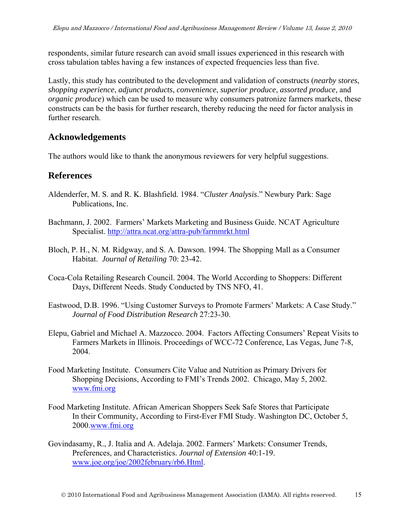respondents, similar future research can avoid small issues experienced in this research with cross tabulation tables having a few instances of expected frequencies less than five.

Lastly, this study has contributed to the development and validation of constructs (*nearby stores*, *shopping experience*, *adjunct products*, *convenience*, *superior produce*, *assorted produce*, and *organic produce*) which can be used to measure why consumers patronize farmers markets, these constructs can be the basis for further research, thereby reducing the need for factor analysis in further research.

## **Acknowledgements**

The authors would like to thank the anonymous reviewers for very helpful suggestions.

## **References**

- Aldenderfer, M. S. and R. K. Blashfield. 1984. "*Cluster Analysis*." Newbury Park: Sage Publications, Inc.
- Bachmann, J. 2002. Farmers' Markets Marketing and Business Guide. NCAT Agriculture Specialist. http://attra.ncat.org/attra-pub/farmmrkt.html
- Bloch, P. H., N. M. Ridgway, and S. A. Dawson. 1994. The Shopping Mall as a Consumer Habitat. *Journal of Retailing* 70: 23-42.
- Coca-Cola Retailing Research Council. 2004. The World According to Shoppers: Different Days, Different Needs. Study Conducted by TNS NFO, 41.
- Eastwood, D.B. 1996. "Using Customer Surveys to Promote Farmers' Markets: A Case Study." *Journal of Food Distribution Research* 27:23-30.
- Elepu, Gabriel and Michael A. Mazzocco. 2004. Factors Affecting Consumers' Repeat Visits to Farmers Markets in Illinois. Proceedings of WCC-72 Conference, Las Vegas, June 7-8, 2004.
- Food Marketing Institute. Consumers Cite Value and Nutrition as Primary Drivers for Shopping Decisions, According to FMI's Trends 2002. Chicago, May 5, 2002. www.fmi.org
- Food Marketing Institute. African American Shoppers Seek Safe Stores that Participate In their Community, According to First-Ever FMI Study. Washington DC, October 5, 2000.www.fmi.org
- Govindasamy, R., J. Italia and A. Adelaja. 2002. Farmers' Markets: Consumer Trends, Preferences, and Characteristics. *Journal of Extension* 40:1-19. www.joe.org/joe/2002february/rb6.Html.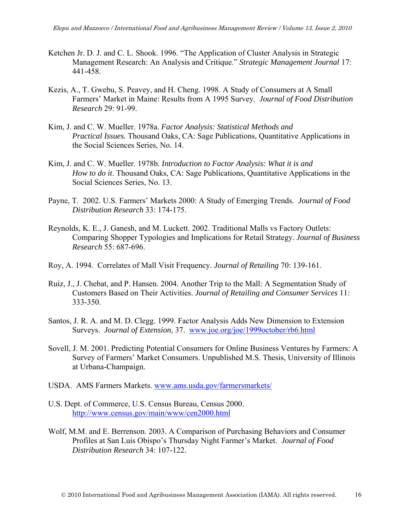- Ketchen Jr. D. J. and C. L. Shook. 1996. "The Application of Cluster Analysis in Strategic Management Research: An Analysis and Critique." *Strategic Management Journal* 17: 441-458.
- Kezis, A., T. Gwebu, S. Peavey, and H. Cheng. 1998. A Study of Consumers at A Small Farmers' Market in Maine: Results from A 1995 Survey. *Journal of Food Distribution Research* 29: 91-99.
- Kim, J. and C. W. Mueller. 1978a. *Factor Analysis: Statistical Methods and Practical Issues.* Thousand Oaks, CA: Sage Publications, Quantitative Applications in the Social Sciences Series, No. 14.
- Kim, J. and C. W. Mueller. 1978b*. Introduction to Factor Analysis: What it is and How to do it*. Thousand Oaks, CA: Sage Publications, Quantitative Applications in the Social Sciences Series, No. 13.
- Payne, T. 2002. U.S. Farmers' Markets 2000: A Study of Emerging Trends. *Journal of Food Distribution Research* 33: 174-175.
- Reynolds, K. E., J. Ganesh, and M. Luckett. 2002. Traditional Malls vs Factory Outlets: Comparing Shopper Typologies and Implications for Retail Strategy. *Journal of Business Research* 55: 687-696.
- Roy, A. 1994. Correlates of Mall Visit Frequency. *Journal of Retailing* 70: 139-161.
- Ruiz, J., J. Chebat, and P. Hansen. 2004. Another Trip to the Mall: A Segmentation Study of Customers Based on Their Activities. *Journal of Retailing and Consumer Services* 11: 333-350.
- Santos, J. R. A. and M. D. Clegg. 1999. Factor Analysis Adds New Dimension to Extension Surveys. *Journal of Extension*, 37. www.joe.org/joe/1999october/rb6.html
- Sovell, J. M. 2001. Predicting Potential Consumers for Online Business Ventures by Farmers: A Survey of Farmers' Market Consumers. Unpublished M.S. Thesis, University of Illinois at Urbana-Champaign.
- USDA. AMS Farmers Markets. www.ams.usda.gov/farmersmarkets/
- U.S. Dept. of Commerce, U.S. Census Bureau, Census 2000. http://www.census.gov/main/www/cen2000.html
- Wolf, M.M. and E. Berrenson. 2003. A Comparison of Purchasing Behaviors and Consumer Profiles at San Luis Obispo's Thursday Night Farmer's Market. *Journal of Food Distribution Research* 34: 107-122.